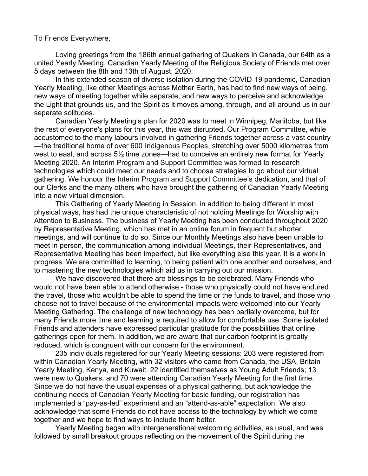To Friends Everywhere,

Loving greetings from the 186th annual gathering of Quakers in Canada, our 64th as a united Yearly Meeting. Canadian Yearly Meeting of the Religious Society of Friends met over 5 days between the 8th and 13th of August, 2020.

In this extended season of diverse isolation during the COVID-19 pandemic, Canadian Yearly Meeting, like other Meetings across Mother Earth, has had to find new ways of being, new ways of meeting together while separate, and new ways to perceive and acknowledge the Light that grounds us, and the Spirit as it moves among, through, and all around us in our separate solitudes.

Canadian Yearly Meeting's plan for 2020 was to meet in Winnipeg, Manitoba, but like the rest of everyone's plans for this year, this was disrupted. Our Program Committee, while accustomed to the many labours involved in gathering Friends together across a vast country —the traditional home of over 600 Indigenous Peoples, stretching over 5000 kilometres from west to east, and across 5½ time zones—had to conceive an entirely new format for Yearly Meeting 2020. An Interim Program and Support Committee was formed to research technologies which could meet our needs and to choose strategies to go about our virtual gathering. We honour the Interim Program and Support Committee's dedication, and that of our Clerks and the many others who have brought the gathering of Canadian Yearly Meeting into a new virtual dimension.

This Gathering of Yearly Meeting in Session, in addition to being different in most physical ways, has had the unique characteristic of not holding Meetings for Worship with Attention to Business. The business of Yearly Meeting has been conducted throughout 2020 by Representative Meeting, which has met in an online forum in frequent but shorter meetings, and will continue to do so. Since our Monthly Meetings also have been unable to meet in person, the communication among individual Meetings, their Representatives, and Representative Meeting has been imperfect, but like everything else this year, it is a work in progress. We are committed to learning, to being patient with one another and ourselves, and to mastering the new technologies which aid us in carrying out our mission.

We have discovered that there are blessings to be celebrated. Many Friends who would not have been able to attend otherwise - those who physically could not have endured the travel, those who wouldn't be able to spend the time or the funds to travel, and those who choose not to travel because of the environmental impacts were welcomed into our Yearly Meeting Gathering. The challenge of new technology has been partially overcome, but for many Friends more time and learning is required to allow for comfortable use. Some isolated Friends and attenders have expressed particular gratitude for the possibilities that online gatherings open for them. In addition, we are aware that our carbon footprint is greatly reduced, which is congruent with our concern for the environment.

235 individuals registered for our Yearly Meeting sessions: 203 were registered from within Canadian Yearly Meeting, with 32 visitors who came from Canada, the USA, Britain Yearly Meeting, Kenya, and Kuwait. 22 identified themselves as Young Adult Friends; 13 were new to Quakers, and 70 were attending Canadian Yearly Meeting for the first time. Since we do not have the usual expenses of a physical gathering, but acknowledge the continuing needs of Canadian Yearly Meeting for basic funding, our registration has implemented a "pay-as-led" experiment and an "attend-as-able" expectation. We also acknowledge that some Friends do not have access to the technology by which we come together and we hope to find ways to include them better.

Yearly Meeting began with intergenerational welcoming activities, as usual, and was followed by small breakout groups reflecting on the movement of the Spirit during the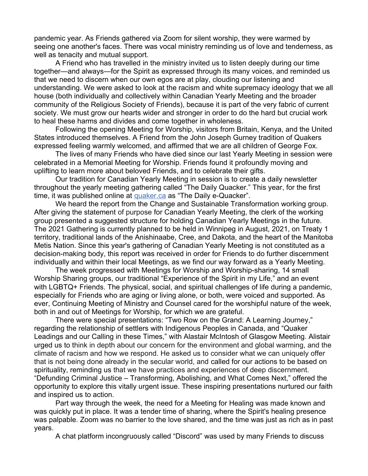pandemic year. As Friends gathered via Zoom for silent worship, they were warmed by seeing one another's faces. There was vocal ministry reminding us of love and tenderness, as well as tenacity and mutual support.

A Friend who has travelled in the ministry invited us to listen deeply during our time together—and always—for the Spirit as expressed through its many voices, and reminded us that we need to discern when our own egos are at play, clouding our listening and understanding. We were asked to look at the racism and white supremacy ideology that we all house (both individually and collectively within Canadian Yearly Meeting and the broader community of the Religious Society of Friends), because it is part of the very fabric of current society. We must grow our hearts wider and stronger in order to do the hard but crucial work to heal these harms and divides and come together in wholeness.

Following the opening Meeting for Worship, visitors from Britain, Kenya, and the United States introduced themselves. A Friend from the John Joseph Gurney tradition of Quakers expressed feeling warmly welcomed, and affirmed that we are all children of George Fox.

The lives of many Friends who have died since our last Yearly Meeting in session were celebrated in a Memorial Meeting for Worship. Friends found it profoundly moving and uplifting to learn more about beloved Friends, and to celebrate their gifts.

Our tradition for Canadian Yearly Meeting in session is to create a daily newsletter throughout the yearly meeting gathering called "The Daily Quacker." This year, for the first time, it was published online at [quaker.ca](http://quaker.ca/) as "The Daily e-Quacker".

We heard the report from the Change and Sustainable Transformation working group. After giving the statement of purpose for Canadian Yearly Meeting, the clerk of the working group presented a suggested structure for holding Canadian Yearly Meetings in the future. The 2021 Gathering is currently planned to be held in Winnipeg in August, 2021, on Treaty 1 territory, traditional lands of the Anishinaabe, Cree, and Dakota, and the heart of the Manitoba Metis Nation. Since this year's gathering of Canadian Yearly Meeting is not constituted as a decision-making body, this report was received in order for Friends to do further discernment individually and within their local Meetings, as we find our way forward as a Yearly Meeting.

The week progressed with Meetings for Worship and Worship-sharing, 14 small Worship Sharing groups, our traditional "Experience of the Spirit in my Life," and an event with LGBTQ+ Friends. The physical, social, and spiritual challenges of life during a pandemic, especially for Friends who are aging or living alone, or both, were voiced and supported. As ever, Continuing Meeting of Ministry and Counsel cared for the worshipful nature of the week, both in and out of Meetings for Worship, for which we are grateful.

There were special presentations: "Two Row on the Grand: A Learning Journey," regarding the relationship of settlers with Indigenous Peoples in Canada, and "Quaker Leadings and our Calling in these Times," with Alastair McIntosh of Glasgow Meeting. Alistair urged us to think in depth about our concern for the environment and global warming, and the climate of racism and how we respond. He asked us to consider what we can uniquely offer that is not being done already in the secular world, and called for our actions to be based on spirituality, reminding us that we have practices and experiences of deep discernment. "Defunding Criminal Justice – Transforming, Abolishing, and What Comes Next," offered the opportunity to explore this vitally urgent issue. These inspiring presentations nurtured our faith and inspired us to action.

Part way through the week, the need for a Meeting for Healing was made known and was quickly put in place. It was a tender time of sharing, where the Spirit's healing presence was palpable. Zoom was no barrier to the love shared, and the time was just as rich as in past years.

A chat platform incongruously called "Discord" was used by many Friends to discuss